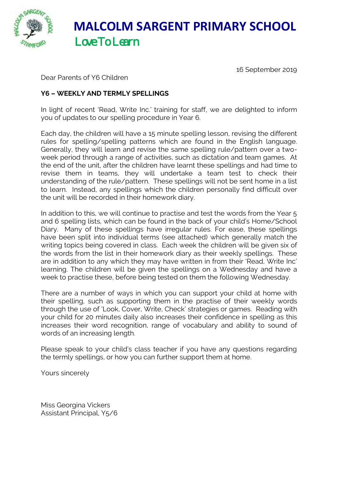

 **MALCOLM SARGENT PRIMARY SCHOOL** Love To Learn

16 September 2019

Dear Parents of Y6 Children

## **Y6 – WEEKLY AND TERMLY SPELLINGS**

In light of recent 'Read, Write Inc.' training for staff, we are delighted to inform you of updates to our spelling procedure in Year 6.

Each day, the children will have a 15 minute spelling lesson, revising the different rules for spelling/spelling patterns which are found in the English language. Generally, they will learn and revise the same spelling rule/pattern over a twoweek period through a range of activities, such as dictation and team games. At the end of the unit, after the children have learnt these spellings and had time to revise them in teams, they will undertake a team test to check their understanding of the rule/pattern. These spellings will not be sent home in a list to learn. Instead, any spellings which the children personally find difficult over the unit will be recorded in their homework diary.

In addition to this, we will continue to practise and test the words from the Year 5 and 6 spelling lists, which can be found in the back of your child's Home/School Diary. Many of these spellings have irregular rules. For ease, these spellings have been split into individual terms (see attached) which generally match the writing topics being covered in class. Each week the children will be given six of the words from the list in their homework diary as their weekly spellings. These are in addition to any which they may have written in from their 'Read, Write Inc' learning. The children will be given the spellings on a Wednesday and have a week to practise these, before being tested on them the following Wednesday.

There are a number of ways in which you can support your child at home with their spelling, such as supporting them in the practise of their weekly words through the use of 'Look, Cover, Write, Check' strategies or games. Reading with your child for 20 minutes daily also increases their confidence in spelling as this increases their word recognition, range of vocabulary and ability to sound of words of an increasing length.

Please speak to your child's class teacher if you have any questions regarding the termly spellings, or how you can further support them at home.

Yours sincerely

Miss Georgina Vickers Assistant Principal, Y5/6